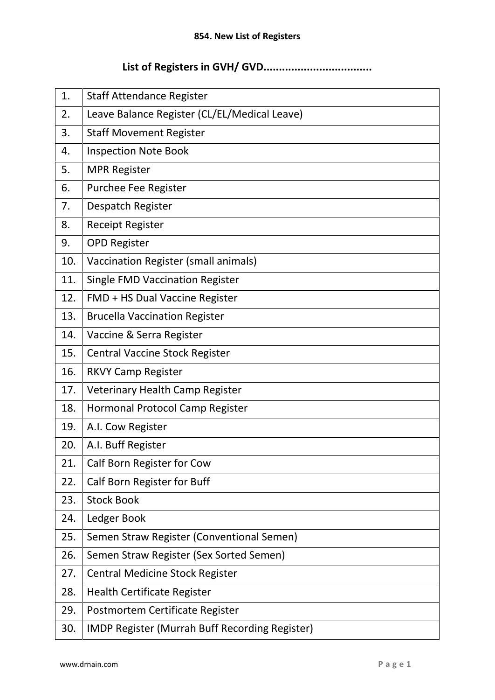## **854. New List of Registers<br>
<b>List of Registers in GVH/ GVD.............................**<br>

|     | 854. New List of Registers                            |
|-----|-------------------------------------------------------|
|     |                                                       |
| 1.  | <b>Staff Attendance Register</b>                      |
| 2.  | Leave Balance Register (CL/EL/Medical Leave)          |
| 3.  | <b>Staff Movement Register</b>                        |
| 4.  | <b>Inspection Note Book</b>                           |
| 5.  | <b>MPR Register</b>                                   |
| 6.  | Purchee Fee Register                                  |
| 7.  | Despatch Register                                     |
| 8.  | <b>Receipt Register</b>                               |
| 9.  | <b>OPD Register</b>                                   |
| 10. | Vaccination Register (small animals)                  |
| 11. | <b>Single FMD Vaccination Register</b>                |
| 12. | FMD + HS Dual Vaccine Register                        |
| 13. | <b>Brucella Vaccination Register</b>                  |
| 14. | Vaccine & Serra Register                              |
| 15. | <b>Central Vaccine Stock Register</b>                 |
| 16. | <b>RKVY Camp Register</b>                             |
| 17. | Veterinary Health Camp Register                       |
| 18. | Hormonal Protocol Camp Register                       |
| 19. | A.I. Cow Register                                     |
| 20. | A.I. Buff Register                                    |
| 21. | Calf Born Register for Cow                            |
| 22. | Calf Born Register for Buff                           |
| 23. | <b>Stock Book</b>                                     |
| 24. | Ledger Book                                           |
| 25. | Semen Straw Register (Conventional Semen)             |
| 26. | Semen Straw Register (Sex Sorted Semen)               |
| 27. | <b>Central Medicine Stock Register</b>                |
| 28. | <b>Health Certificate Register</b>                    |
| 29. | Postmortem Certificate Register                       |
| 30. | <b>IMDP Register (Murrah Buff Recording Register)</b> |
|     | $P$ a g e 1<br>www.drnain.com                         |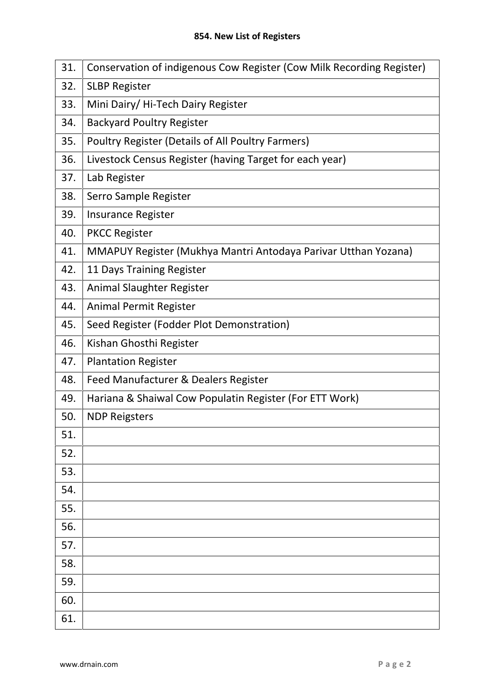| 854. New List of Registers |                                                                       |  |
|----------------------------|-----------------------------------------------------------------------|--|
| 31.                        | Conservation of indigenous Cow Register (Cow Milk Recording Register) |  |
| 32.                        | <b>SLBP Register</b>                                                  |  |
| 33.                        | Mini Dairy/Hi-Tech Dairy Register                                     |  |
| 34.                        | <b>Backyard Poultry Register</b>                                      |  |
| 35.                        | Poultry Register (Details of All Poultry Farmers)                     |  |
| 36.                        | Livestock Census Register (having Target for each year)               |  |
| 37.                        | Lab Register                                                          |  |
| 38.                        | Serro Sample Register                                                 |  |
| 39.                        | <b>Insurance Register</b>                                             |  |
| 40.                        | <b>PKCC Register</b>                                                  |  |
| 41.                        | MMAPUY Register (Mukhya Mantri Antodaya Parivar Utthan Yozana)        |  |
| 42.                        | 11 Days Training Register                                             |  |
| 43.                        | Animal Slaughter Register                                             |  |
| 44.                        | Animal Permit Register                                                |  |
| 45.                        | Seed Register (Fodder Plot Demonstration)                             |  |
| 46.                        | Kishan Ghosthi Register                                               |  |
| 47.                        | <b>Plantation Register</b>                                            |  |
| 48.                        | Feed Manufacturer & Dealers Register                                  |  |
| 49.                        | Hariana & Shaiwal Cow Populatin Register (For ETT Work)               |  |
| 50.                        | <b>NDP Reigsters</b>                                                  |  |
| 51.                        |                                                                       |  |
| 52.                        |                                                                       |  |
| 53.                        |                                                                       |  |
| 54.                        |                                                                       |  |
| 55.                        |                                                                       |  |
| 56.                        |                                                                       |  |
| 57.                        |                                                                       |  |
| 58.                        |                                                                       |  |
| 59.                        |                                                                       |  |
| 60.                        |                                                                       |  |
| 61.                        |                                                                       |  |